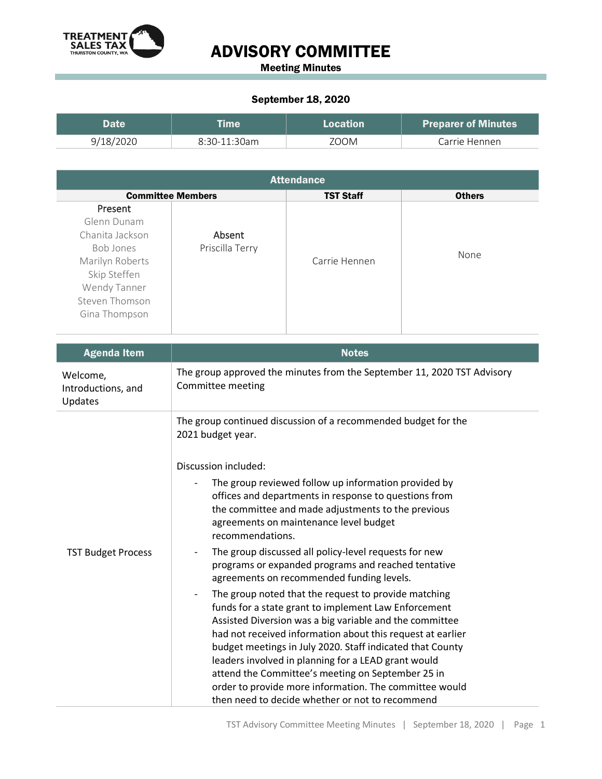

## ADVISORY COMMITTEE

Meeting Minutes

## September 18, 2020

| Date      |                | Location | <b>Preparer of Minutes</b> |
|-----------|----------------|----------|----------------------------|
| 9/18/2020 | $8:30-11:30am$ | 700M     | Carrie Hennen              |

| <b>Attendance</b>         |               |                  |  |  |  |
|---------------------------|---------------|------------------|--|--|--|
| <b>Committee Members</b>  |               | <b>Others</b>    |  |  |  |
| Absent<br>Priscilla Terry | Carrie Hennen | None             |  |  |  |
|                           |               | <b>TST Staff</b> |  |  |  |

| <b>Agenda Item</b>                        | <b>Notes</b>                                                                                                                                                                                                                                                                                                                                                                                                                                                                                                                                                                                                                                                                                                                                                                             |  |  |
|-------------------------------------------|------------------------------------------------------------------------------------------------------------------------------------------------------------------------------------------------------------------------------------------------------------------------------------------------------------------------------------------------------------------------------------------------------------------------------------------------------------------------------------------------------------------------------------------------------------------------------------------------------------------------------------------------------------------------------------------------------------------------------------------------------------------------------------------|--|--|
| Welcome,<br>Introductions, and<br>Updates | The group approved the minutes from the September 11, 2020 TST Advisory<br>Committee meeting                                                                                                                                                                                                                                                                                                                                                                                                                                                                                                                                                                                                                                                                                             |  |  |
|                                           | The group continued discussion of a recommended budget for the<br>2021 budget year.                                                                                                                                                                                                                                                                                                                                                                                                                                                                                                                                                                                                                                                                                                      |  |  |
| <b>TST Budget Process</b>                 | Discussion included:<br>The group reviewed follow up information provided by<br>offices and departments in response to questions from<br>the committee and made adjustments to the previous<br>agreements on maintenance level budget<br>recommendations.<br>The group discussed all policy-level requests for new<br>$\overline{\phantom{a}}$<br>programs or expanded programs and reached tentative<br>agreements on recommended funding levels.<br>The group noted that the request to provide matching<br>$\qquad \qquad \blacksquare$<br>funds for a state grant to implement Law Enforcement<br>Assisted Diversion was a big variable and the committee<br>had not received information about this request at earlier<br>budget meetings in July 2020. Staff indicated that County |  |  |
|                                           | leaders involved in planning for a LEAD grant would<br>attend the Committee's meeting on September 25 in<br>order to provide more information. The committee would<br>then need to decide whether or not to recommend                                                                                                                                                                                                                                                                                                                                                                                                                                                                                                                                                                    |  |  |